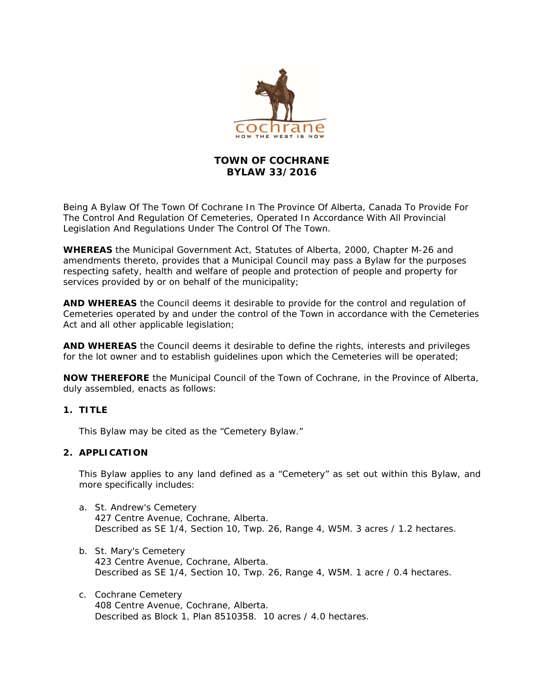

# **TOWN OF COCHRANE BYLAW 33/2016**

Being A Bylaw Of The Town Of Cochrane In The Province Of Alberta, Canada To Provide For The Control And Regulation Of Cemeteries, Operated In Accordance With All Provincial Legislation And Regulations Under The Control Of The Town.

**WHEREAS** the Municipal Government Act, Statutes of Alberta, 2000, Chapter M-26 and amendments thereto, provides that a Municipal Council may pass a Bylaw for the purposes respecting safety, health and welfare of people and protection of people and property for services provided by or on behalf of the municipality;

**AND WHEREAS** the Council deems it desirable to provide for the control and regulation of Cemeteries operated by and under the control of the Town in accordance with the Cemeteries Act and all other applicable legislation;

**AND WHEREAS** the Council deems it desirable to define the rights, interests and privileges for the lot owner and to establish guidelines upon which the Cemeteries will be operated;

**NOW THEREFORE** the Municipal Council of the Town of Cochrane, in the Province of Alberta, duly assembled, enacts as follows:

#### **1. TITLE**

This Bylaw may be cited as the "Cemetery Bylaw."

#### **2. APPLICATION**

This Bylaw applies to any land defined as a "Cemetery" as set out within this Bylaw, and more specifically includes:

- a. St. Andrew's Cemetery 427 Centre Avenue, Cochrane, Alberta. Described as SE 1/4, Section 10, Twp. 26, Range 4, W5M. 3 acres / 1.2 hectares.
- b. St. Mary's Cemetery 423 Centre Avenue, Cochrane, Alberta. Described as SE 1/4, Section 10, Twp. 26, Range 4, W5M. 1 acre / 0.4 hectares.
- c. Cochrane Cemetery 408 Centre Avenue, Cochrane, Alberta. Described as Block 1, Plan 8510358. 10 acres / 4.0 hectares.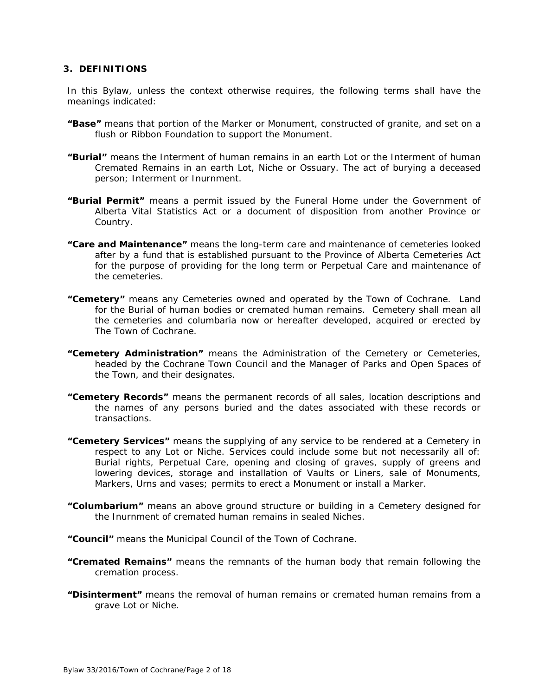#### **3. DEFINITIONS**

In this Bylaw, unless the context otherwise requires, the following terms shall have the meanings indicated:

- **"Base"** means that portion of the Marker or Monument, constructed of granite, and set on a flush or Ribbon Foundation to support the Monument.
- **"Burial"** means the Interment of human remains in an earth Lot or the Interment of human Cremated Remains in an earth Lot, Niche or Ossuary. The act of burying a deceased person; Interment or Inurnment.
- **"Burial Permit"** means a permit issued by the Funeral Home under the Government of Alberta Vital Statistics Act or a document of disposition from another Province or Country.
- **"Care and Maintenance"** means the long-term care and maintenance of cemeteries looked after by a fund that is established pursuant to the Province of Alberta Cemeteries Act for the purpose of providing for the long term or Perpetual Care and maintenance of the cemeteries.
- **"Cemetery"** means any Cemeteries owned and operated by the Town of Cochrane. Land for the Burial of human bodies or cremated human remains. Cemetery shall mean all the cemeteries and columbaria now or hereafter developed, acquired or erected by The Town of Cochrane.
- **"Cemetery Administration"** means the Administration of the Cemetery or Cemeteries, headed by the Cochrane Town Council and the Manager of Parks and Open Spaces of the Town, and their designates.
- **"Cemetery Records"** means the permanent records of all sales, location descriptions and the names of any persons buried and the dates associated with these records or transactions.
- **"Cemetery Services"** means the supplying of any service to be rendered at a Cemetery in respect to any Lot or Niche. Services could include some but not necessarily all of: Burial rights, Perpetual Care, opening and closing of graves, supply of greens and lowering devices, storage and installation of Vaults or Liners, sale of Monuments, Markers, Urns and vases; permits to erect a Monument or install a Marker.
- **"Columbarium"** means an above ground structure or building in a Cemetery designed for the Inurnment of cremated human remains in sealed Niches.

**"Council"** means the Municipal Council of the Town of Cochrane.

- **"Cremated Remains"** means the remnants of the human body that remain following the cremation process.
- **"Disinterment"** means the removal of human remains or cremated human remains from a grave Lot or Niche.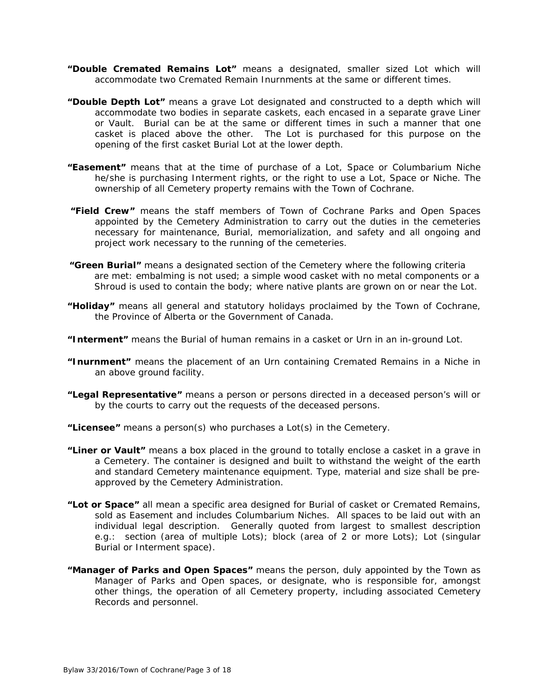- **"Double Cremated Remains Lot"** means a designated, smaller sized Lot which will accommodate two Cremated Remain Inurnments at the same or different times.
- **"Double Depth Lot"** means a grave Lot designated and constructed to a depth which will accommodate two bodies in separate caskets, each encased in a separate grave Liner or Vault. Burial can be at the same or different times in such a manner that one casket is placed above the other. The Lot is purchased for this purpose on the opening of the first casket Burial Lot at the lower depth.
- **"Easement"** means that at the time of purchase of a Lot, Space or Columbarium Niche he/she is purchasing Interment rights, or the right to use a Lot, Space or Niche. The ownership of all Cemetery property remains with the Town of Cochrane.
- **"Field Crew"** means the staff members of Town of Cochrane Parks and Open Spaces appointed by the Cemetery Administration to carry out the duties in the cemeteries necessary for maintenance, Burial, memorialization, and safety and all ongoing and project work necessary to the running of the cemeteries.
- **"Green Burial"** means a designated section of the Cemetery where the following criteria are met: embalming is not used; a simple wood casket with no metal components or a Shroud is used to contain the body; where native plants are grown on or near the Lot.
- **"Holiday"** means all general and statutory holidays proclaimed by the Town of Cochrane, the Province of Alberta or the Government of Canada.
- **"Interment"** means the Burial of human remains in a casket or Urn in an in-ground Lot.
- **"Inurnment"** means the placement of an Urn containing Cremated Remains in a Niche in an above ground facility.
- **"Legal Representative"** means a person or persons directed in a deceased person's will or by the courts to carry out the requests of the deceased persons.
- **"Licensee"** means a person(s) who purchases a Lot(s) in the Cemetery.
- **"Liner or Vault"** means a box placed in the ground to totally enclose a casket in a grave in a Cemetery. The container is designed and built to withstand the weight of the earth and standard Cemetery maintenance equipment. Type, material and size shall be preapproved by the Cemetery Administration.
- **"Lot or Space"** all mean a specific area designed for Burial of casket or Cremated Remains, sold as Easement and includes Columbarium Niches. All spaces to be laid out with an individual legal description. Generally quoted from largest to smallest description e.g.: section (area of multiple Lots); block (area of 2 or more Lots); Lot (singular Burial or Interment space).
- **"Manager of Parks and Open Spaces"** means the person, duly appointed by the Town as Manager of Parks and Open spaces, or designate, who is responsible for, amongst other things, the operation of all Cemetery property, including associated Cemetery Records and personnel.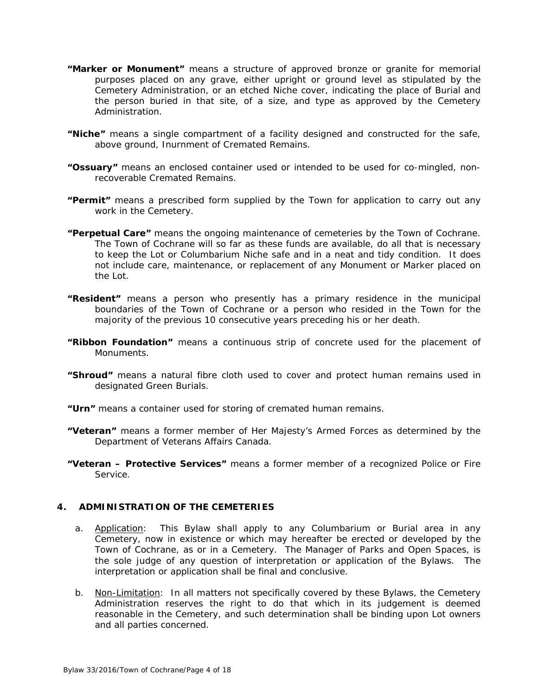- **"Marker or Monument"** means a structure of approved bronze or granite for memorial purposes placed on any grave, either upright or ground level as stipulated by the Cemetery Administration, or an etched Niche cover, indicating the place of Burial and the person buried in that site, of a size, and type as approved by the Cemetery Administration.
- **"Niche"** means a single compartment of a facility designed and constructed for the safe, above ground, Inurnment of Cremated Remains.
- **"Ossuary"** means an enclosed container used or intended to be used for co-mingled, nonrecoverable Cremated Remains.
- **"Permit"** means a prescribed form supplied by the Town for application to carry out any work in the Cemetery.
- **"Perpetual Care"** means the ongoing maintenance of cemeteries by the Town of Cochrane. The Town of Cochrane will so far as these funds are available, do all that is necessary to keep the Lot or Columbarium Niche safe and in a neat and tidy condition. It does not include care, maintenance, or replacement of any Monument or Marker placed on the Lot.
- **"Resident"** means a person who presently has a primary residence in the municipal boundaries of the Town of Cochrane or a person who resided in the Town for the majority of the previous 10 consecutive years preceding his or her death.
- **"Ribbon Foundation"** means a continuous strip of concrete used for the placement of Monuments.
- **"Shroud"** means a natural fibre cloth used to cover and protect human remains used in designated Green Burials.
- **"Urn"** means a container used for storing of cremated human remains.
- **"Veteran"** means a former member of Her Majesty's Armed Forces as determined by the Department of Veterans Affairs Canada.
- **"Veteran Protective Services"** means a former member of a recognized Police or Fire Service.

#### **4. ADMINISTRATION OF THE CEMETERIES**

- a. Application: This Bylaw shall apply to any Columbarium or Burial area in any Cemetery, now in existence or which may hereafter be erected or developed by the Town of Cochrane, as or in a Cemetery. The Manager of Parks and Open Spaces, is the sole judge of any question of interpretation or application of the Bylaws. The interpretation or application shall be final and conclusive.
- b. Non-Limitation: In all matters not specifically covered by these Bylaws, the Cemetery Administration reserves the right to do that which in its judgement is deemed reasonable in the Cemetery, and such determination shall be binding upon Lot owners and all parties concerned.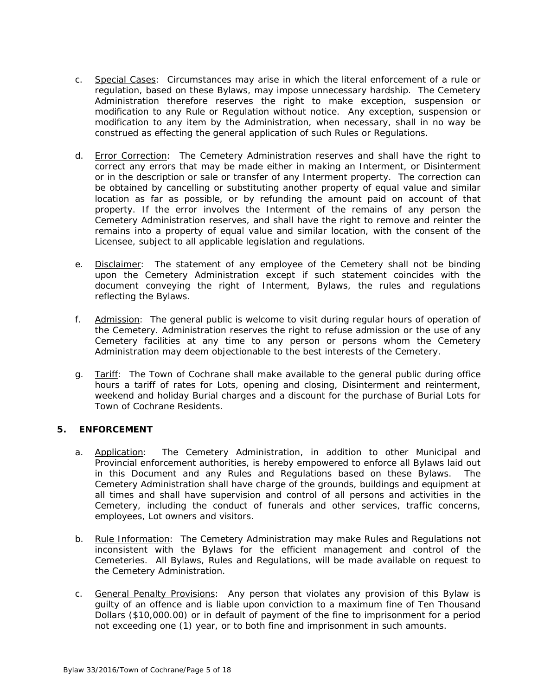- c. Special Cases: Circumstances may arise in which the literal enforcement of a rule or regulation, based on these Bylaws, may impose unnecessary hardship. The Cemetery Administration therefore reserves the right to make exception, suspension or modification to any Rule or Regulation without notice. Any exception, suspension or modification to any item by the Administration, when necessary, shall in no way be construed as effecting the general application of such Rules or Regulations.
- d. Error Correction: The Cemetery Administration reserves and shall have the right to correct any errors that may be made either in making an Interment, or Disinterment or in the description or sale or transfer of any Interment property. The correction can be obtained by cancelling or substituting another property of equal value and similar location as far as possible, or by refunding the amount paid on account of that property. If the error involves the Interment of the remains of any person the Cemetery Administration reserves, and shall have the right to remove and reinter the remains into a property of equal value and similar location, with the consent of the Licensee, subject to all applicable legislation and regulations.
- e. Disclaimer: The statement of any employee of the Cemetery shall not be binding upon the Cemetery Administration except if such statement coincides with the document conveying the right of Interment, Bylaws, the rules and regulations reflecting the Bylaws.
- f. Admission: The general public is welcome to visit during regular hours of operation of the Cemetery. Administration reserves the right to refuse admission or the use of any Cemetery facilities at any time to any person or persons whom the Cemetery Administration may deem objectionable to the best interests of the Cemetery.
- g. Tariff: The Town of Cochrane shall make available to the general public during office hours a tariff of rates for Lots, opening and closing, Disinterment and reinterment, weekend and holiday Burial charges and a discount for the purchase of Burial Lots for Town of Cochrane Residents.

## **5. ENFORCEMENT**

- a. Application: The Cemetery Administration, in addition to other Municipal and Provincial enforcement authorities, is hereby empowered to enforce all Bylaws laid out in this Document and any Rules and Regulations based on these Bylaws. The Cemetery Administration shall have charge of the grounds, buildings and equipment at all times and shall have supervision and control of all persons and activities in the Cemetery, including the conduct of funerals and other services, traffic concerns, employees, Lot owners and visitors.
- b. Rule Information: The Cemetery Administration may make Rules and Regulations not inconsistent with the Bylaws for the efficient management and control of the Cemeteries. All Bylaws, Rules and Regulations, will be made available on request to the Cemetery Administration.
- c. General Penalty Provisions: Any person that violates any provision of this Bylaw is guilty of an offence and is liable upon conviction to a maximum fine of Ten Thousand Dollars (\$10,000.00) or in default of payment of the fine to imprisonment for a period not exceeding one (1) year, or to both fine and imprisonment in such amounts.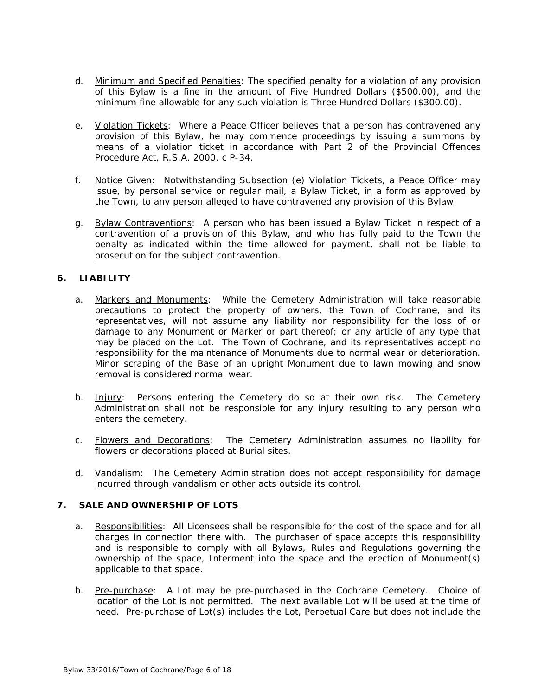- d. Minimum and Specified Penalties: The specified penalty for a violation of any provision of this Bylaw is a fine in the amount of Five Hundred Dollars (\$500.00), and the minimum fine allowable for any such violation is Three Hundred Dollars (\$300.00).
- e. Violation Tickets: Where a Peace Officer believes that a person has contravened any provision of this Bylaw, he may commence proceedings by issuing a summons by means of a violation ticket in accordance with Part 2 of the Provincial Offences Procedure Act, R.S.A. 2000, c P-34.
- f. Notice Given: Notwithstanding Subsection (e) Violation Tickets, a Peace Officer may issue, by personal service or regular mail, a Bylaw Ticket, in a form as approved by the Town, to any person alleged to have contravened any provision of this Bylaw.
- g. Bylaw Contraventions: A person who has been issued a Bylaw Ticket in respect of a contravention of a provision of this Bylaw, and who has fully paid to the Town the penalty as indicated within the time allowed for payment, shall not be liable to prosecution for the subject contravention.

## **6. LIABILITY**

- a. Markers and Monuments: While the Cemetery Administration will take reasonable precautions to protect the property of owners, the Town of Cochrane, and its representatives, will not assume any liability nor responsibility for the loss of or damage to any Monument or Marker or part thereof; or any article of any type that may be placed on the Lot. The Town of Cochrane, and its representatives accept no responsibility for the maintenance of Monuments due to normal wear or deterioration. Minor scraping of the Base of an upright Monument due to lawn mowing and snow removal is considered normal wear.
- b. Injury: Persons entering the Cemetery do so at their own risk. The Cemetery Administration shall not be responsible for any injury resulting to any person who enters the cemetery.
- c. Flowers and Decorations: The Cemetery Administration assumes no liability for flowers or decorations placed at Burial sites.
- d. Vandalism: The Cemetery Administration does not accept responsibility for damage incurred through vandalism or other acts outside its control.

## **7. SALE AND OWNERSHIP OF LOTS**

- a. Responsibilities: All Licensees shall be responsible for the cost of the space and for all charges in connection there with. The purchaser of space accepts this responsibility and is responsible to comply with all Bylaws, Rules and Regulations governing the ownership of the space, Interment into the space and the erection of Monument(s) applicable to that space.
- b. Pre-purchase: A Lot may be pre-purchased in the Cochrane Cemetery. Choice of location of the Lot is not permitted. The next available Lot will be used at the time of need. Pre-purchase of Lot(s) includes the Lot, Perpetual Care but does not include the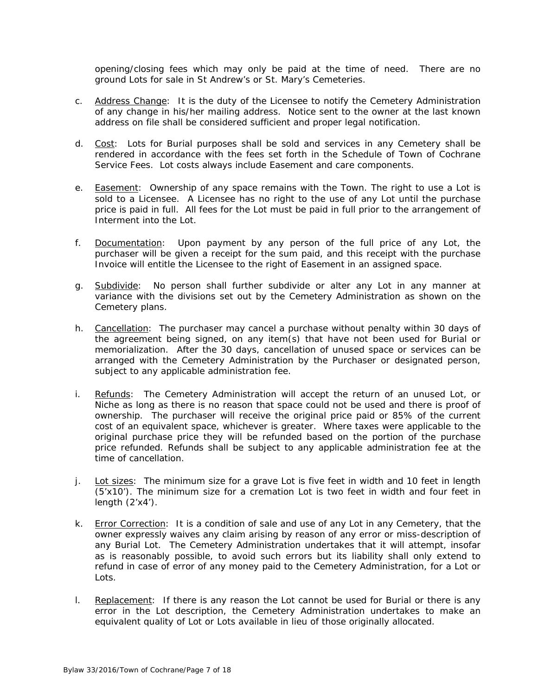opening/closing fees which may only be paid at the time of need. There are no ground Lots for sale in St Andrew's or St. Mary's Cemeteries.

- c. Address Change: It is the duty of the Licensee to notify the Cemetery Administration of any change in his/her mailing address. Notice sent to the owner at the last known address on file shall be considered sufficient and proper legal notification.
- d. Cost: Lots for Burial purposes shall be sold and services in any Cemetery shall be rendered in accordance with the fees set forth in the Schedule of Town of Cochrane Service Fees. Lot costs always include Easement and care components.
- e. Easement: Ownership of any space remains with the Town. The right to use a Lot is sold to a Licensee. A Licensee has no right to the use of any Lot until the purchase price is paid in full. All fees for the Lot must be paid in full prior to the arrangement of Interment into the Lot.
- f. Documentation: Upon payment by any person of the full price of any Lot, the purchaser will be given a receipt for the sum paid, and this receipt with the purchase Invoice will entitle the Licensee to the right of Easement in an assigned space.
- g. Subdivide: No person shall further subdivide or alter any Lot in any manner at variance with the divisions set out by the Cemetery Administration as shown on the Cemetery plans.
- h. Cancellation: The purchaser may cancel a purchase without penalty within 30 days of the agreement being signed, on any item(s) that have not been used for Burial or memorialization. After the 30 days, cancellation of unused space or services can be arranged with the Cemetery Administration by the Purchaser or designated person, subject to any applicable administration fee.
- i. Refunds: The Cemetery Administration will accept the return of an unused Lot, or Niche as long as there is no reason that space could not be used and there is proof of ownership. The purchaser will receive the original price paid or 85% of the current cost of an equivalent space, whichever is greater. Where taxes were applicable to the original purchase price they will be refunded based on the portion of the purchase price refunded. Refunds shall be subject to any applicable administration fee at the time of cancellation.
- j. Lot sizes: The minimum size for a grave Lot is five feet in width and 10 feet in length (5'x10'). The minimum size for a cremation Lot is two feet in width and four feet in length (2'x4').
- k. Error Correction: It is a condition of sale and use of any Lot in any Cemetery, that the owner expressly waives any claim arising by reason of any error or miss-description of any Burial Lot. The Cemetery Administration undertakes that it will attempt, insofar as is reasonably possible, to avoid such errors but its liability shall only extend to refund in case of error of any money paid to the Cemetery Administration, for a Lot or Lots.
- 1. Replacement: If there is any reason the Lot cannot be used for Burial or there is any error in the Lot description, the Cemetery Administration undertakes to make an equivalent quality of Lot or Lots available in lieu of those originally allocated.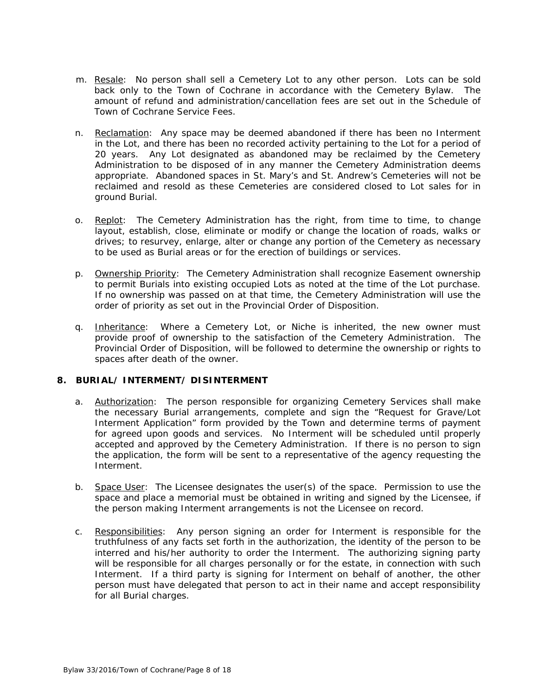- m. Resale: No person shall sell a Cemetery Lot to any other person. Lots can be sold back only to the Town of Cochrane in accordance with the Cemetery Bylaw. The amount of refund and administration/cancellation fees are set out in the Schedule of Town of Cochrane Service Fees.
- n. Reclamation: Any space may be deemed abandoned if there has been no Interment in the Lot, and there has been no recorded activity pertaining to the Lot for a period of 20 years. Any Lot designated as abandoned may be reclaimed by the Cemetery Administration to be disposed of in any manner the Cemetery Administration deems appropriate. Abandoned spaces in St. Mary's and St. Andrew's Cemeteries will not be reclaimed and resold as these Cemeteries are considered closed to Lot sales for in ground Burial.
- o. Replot: The Cemetery Administration has the right, from time to time, to change layout, establish, close, eliminate or modify or change the location of roads, walks or drives; to resurvey, enlarge, alter or change any portion of the Cemetery as necessary to be used as Burial areas or for the erection of buildings or services.
- p. Ownership Priority: The Cemetery Administration shall recognize Easement ownership to permit Burials into existing occupied Lots as noted at the time of the Lot purchase. If no ownership was passed on at that time, the Cemetery Administration will use the order of priority as set out in the Provincial Order of Disposition.
- q. Inheritance: Where a Cemetery Lot, or Niche is inherited, the new owner must provide proof of ownership to the satisfaction of the Cemetery Administration. The Provincial Order of Disposition, will be followed to determine the ownership or rights to spaces after death of the owner.

## **8. BURIAL/ INTERMENT/ DISINTERMENT**

- a. Authorization: The person responsible for organizing Cemetery Services shall make the necessary Burial arrangements, complete and sign the "Request for Grave/Lot Interment Application" form provided by the Town and determine terms of payment for agreed upon goods and services. No Interment will be scheduled until properly accepted and approved by the Cemetery Administration. If there is no person to sign the application, the form will be sent to a representative of the agency requesting the Interment.
- b. Space User: The Licensee designates the user(s) of the space. Permission to use the space and place a memorial must be obtained in writing and signed by the Licensee, if the person making Interment arrangements is not the Licensee on record.
- c. Responsibilities: Any person signing an order for Interment is responsible for the truthfulness of any facts set forth in the authorization, the identity of the person to be interred and his/her authority to order the Interment. The authorizing signing party will be responsible for all charges personally or for the estate, in connection with such Interment. If a third party is signing for Interment on behalf of another, the other person must have delegated that person to act in their name and accept responsibility for all Burial charges.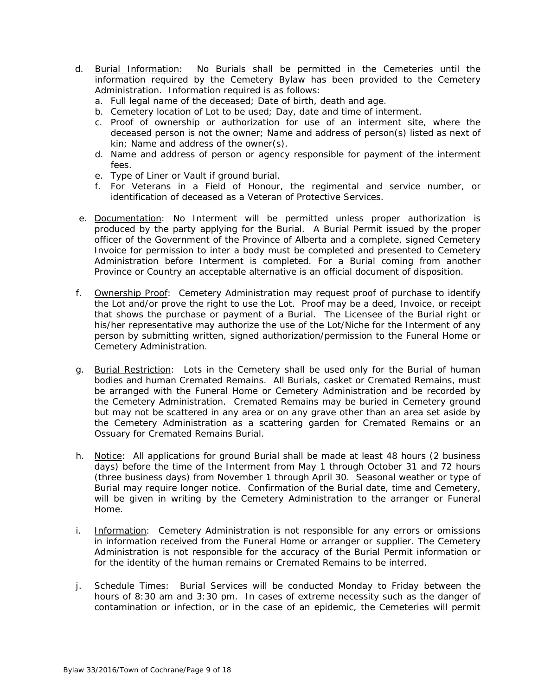- d. Burial Information: No Burials shall be permitted in the Cemeteries until the information required by the Cemetery Bylaw has been provided to the Cemetery Administration. Information required is as follows:
	- a. Full legal name of the deceased; Date of birth, death and age.
	- b. Cemetery location of Lot to be used; Day, date and time of interment.
	- c. Proof of ownership or authorization for use of an interment site, where the deceased person is not the owner; Name and address of person(s) listed as next of kin; Name and address of the owner(s).
	- d. Name and address of person or agency responsible for payment of the interment fees.
	- e. Type of Liner or Vault if ground burial.
	- f. For Veterans in a Field of Honour, the regimental and service number, or identification of deceased as a Veteran of Protective Services.
- e. Documentation: No Interment will be permitted unless proper authorization is produced by the party applying for the Burial. A Burial Permit issued by the proper officer of the Government of the Province of Alberta and a complete, signed Cemetery Invoice for permission to inter a body must be completed and presented to Cemetery Administration before Interment is completed. For a Burial coming from another Province or Country an acceptable alternative is an official document of disposition.
- f. Ownership Proof: Cemetery Administration may request proof of purchase to identify the Lot and/or prove the right to use the Lot. Proof may be a deed, Invoice, or receipt that shows the purchase or payment of a Burial. The Licensee of the Burial right or his/her representative may authorize the use of the Lot/Niche for the Interment of any person by submitting written, signed authorization/permission to the Funeral Home or Cemetery Administration.
- g. Burial Restriction: Lots in the Cemetery shall be used only for the Burial of human bodies and human Cremated Remains. All Burials, casket or Cremated Remains, must be arranged with the Funeral Home or Cemetery Administration and be recorded by the Cemetery Administration. Cremated Remains may be buried in Cemetery ground but may not be scattered in any area or on any grave other than an area set aside by the Cemetery Administration as a scattering garden for Cremated Remains or an Ossuary for Cremated Remains Burial.
- h. Notice: All applications for ground Burial shall be made at least 48 hours (2 business days) before the time of the Interment from May 1 through October 31 and 72 hours (three business days) from November 1 through April 30. Seasonal weather or type of Burial may require longer notice. Confirmation of the Burial date, time and Cemetery, will be given in writing by the Cemetery Administration to the arranger or Funeral Home.
- i. Information: Cemetery Administration is not responsible for any errors or omissions in information received from the Funeral Home or arranger or supplier. The Cemetery Administration is not responsible for the accuracy of the Burial Permit information or for the identity of the human remains or Cremated Remains to be interred.
- j. Schedule Times: Burial Services will be conducted Monday to Friday between the hours of 8:30 am and 3:30 pm. In cases of extreme necessity such as the danger of contamination or infection, or in the case of an epidemic, the Cemeteries will permit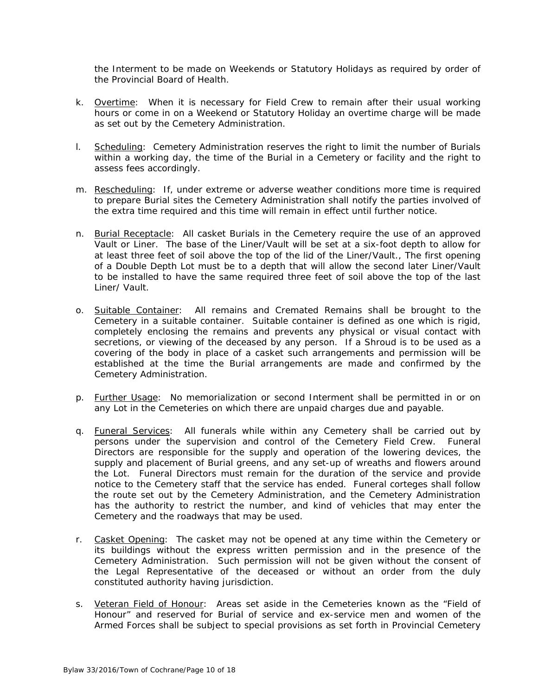the Interment to be made on Weekends or Statutory Holidays as required by order of the Provincial Board of Health.

- k. Overtime: When it is necessary for Field Crew to remain after their usual working hours or come in on a Weekend or Statutory Holiday an overtime charge will be made as set out by the Cemetery Administration.
- l. Scheduling: Cemetery Administration reserves the right to limit the number of Burials within a working day, the time of the Burial in a Cemetery or facility and the right to assess fees accordingly.
- m. Rescheduling: If, under extreme or adverse weather conditions more time is required to prepare Burial sites the Cemetery Administration shall notify the parties involved of the extra time required and this time will remain in effect until further notice.
- n. Burial Receptacle: All casket Burials in the Cemetery require the use of an approved Vault or Liner. The base of the Liner/Vault will be set at a six-foot depth to allow for at least three feet of soil above the top of the lid of the Liner/Vault., The first opening of a Double Depth Lot must be to a depth that will allow the second later Liner/Vault to be installed to have the same required three feet of soil above the top of the last Liner/ Vault.
- o. Suitable Container: All remains and Cremated Remains shall be brought to the Cemetery in a suitable container. Suitable container is defined as one which is rigid, completely enclosing the remains and prevents any physical or visual contact with secretions, or viewing of the deceased by any person. If a Shroud is to be used as a covering of the body in place of a casket such arrangements and permission will be established at the time the Burial arrangements are made and confirmed by the Cemetery Administration.
- p. Further Usage: No memorialization or second Interment shall be permitted in or on any Lot in the Cemeteries on which there are unpaid charges due and payable.
- q. Funeral Services: All funerals while within any Cemetery shall be carried out by persons under the supervision and control of the Cemetery Field Crew. Funeral Directors are responsible for the supply and operation of the lowering devices, the supply and placement of Burial greens, and any set-up of wreaths and flowers around the Lot. Funeral Directors must remain for the duration of the service and provide notice to the Cemetery staff that the service has ended. Funeral corteges shall follow the route set out by the Cemetery Administration, and the Cemetery Administration has the authority to restrict the number, and kind of vehicles that may enter the Cemetery and the roadways that may be used.
- r. Casket Opening: The casket may not be opened at any time within the Cemetery or its buildings without the express written permission and in the presence of the Cemetery Administration. Such permission will not be given without the consent of the Legal Representative of the deceased or without an order from the duly constituted authority having jurisdiction.
- s. Veteran Field of Honour: Areas set aside in the Cemeteries known as the "Field of Honour" and reserved for Burial of service and ex-service men and women of the Armed Forces shall be subject to special provisions as set forth in Provincial Cemetery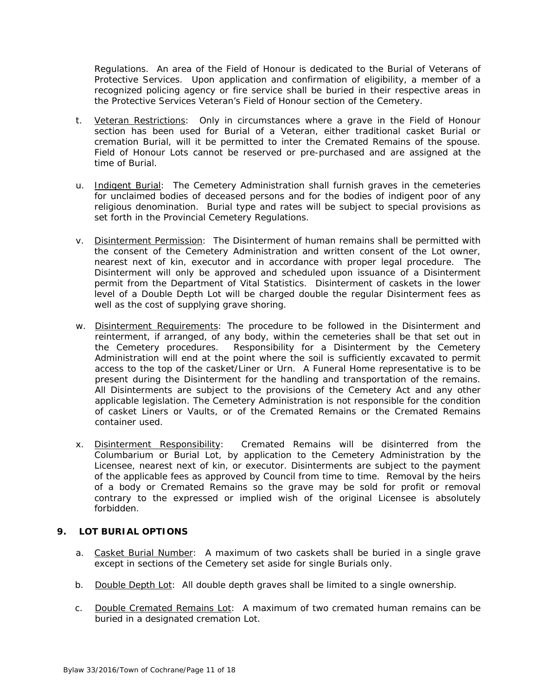Regulations. An area of the Field of Honour is dedicated to the Burial of Veterans of Protective Services. Upon application and confirmation of eligibility, a member of a recognized policing agency or fire service shall be buried in their respective areas in the Protective Services Veteran's Field of Honour section of the Cemetery.

- t. Veteran Restrictions: Only in circumstances where a grave in the Field of Honour section has been used for Burial of a Veteran, either traditional casket Burial or cremation Burial, will it be permitted to inter the Cremated Remains of the spouse. Field of Honour Lots cannot be reserved or pre-purchased and are assigned at the time of Burial.
- u. Indigent Burial: The Cemetery Administration shall furnish graves in the cemeteries for unclaimed bodies of deceased persons and for the bodies of indigent poor of any religious denomination. Burial type and rates will be subject to special provisions as set forth in the Provincial Cemetery Regulations.
- v. Disinterment Permission: The Disinterment of human remains shall be permitted with the consent of the Cemetery Administration and written consent of the Lot owner, nearest next of kin, executor and in accordance with proper legal procedure. The Disinterment will only be approved and scheduled upon issuance of a Disinterment permit from the Department of Vital Statistics. Disinterment of caskets in the lower level of a Double Depth Lot will be charged double the regular Disinterment fees as well as the cost of supplying grave shoring.
- w. Disinterment Requirements: The procedure to be followed in the Disinterment and reinterment, if arranged, of any body, within the cemeteries shall be that set out in the Cemetery procedures. Responsibility for a Disinterment by the Cemetery Administration will end at the point where the soil is sufficiently excavated to permit access to the top of the casket/Liner or Urn. A Funeral Home representative is to be present during the Disinterment for the handling and transportation of the remains. All Disinterments are subject to the provisions of the Cemetery Act and any other applicable legislation. The Cemetery Administration is not responsible for the condition of casket Liners or Vaults, or of the Cremated Remains or the Cremated Remains container used.
- x. Disinterment Responsibility: Cremated Remains will be disinterred from the Columbarium or Burial Lot, by application to the Cemetery Administration by the Licensee, nearest next of kin, or executor. Disinterments are subject to the payment of the applicable fees as approved by Council from time to time. Removal by the heirs of a body or Cremated Remains so the grave may be sold for profit or removal contrary to the expressed or implied wish of the original Licensee is absolutely forbidden.

# **9. LOT BURIAL OPTIONS**

- a. Casket Burial Number: A maximum of two caskets shall be buried in a single grave except in sections of the Cemetery set aside for single Burials only.
- b. Double Depth Lot: All double depth graves shall be limited to a single ownership.
- c. Double Cremated Remains Lot: A maximum of two cremated human remains can be buried in a designated cremation Lot.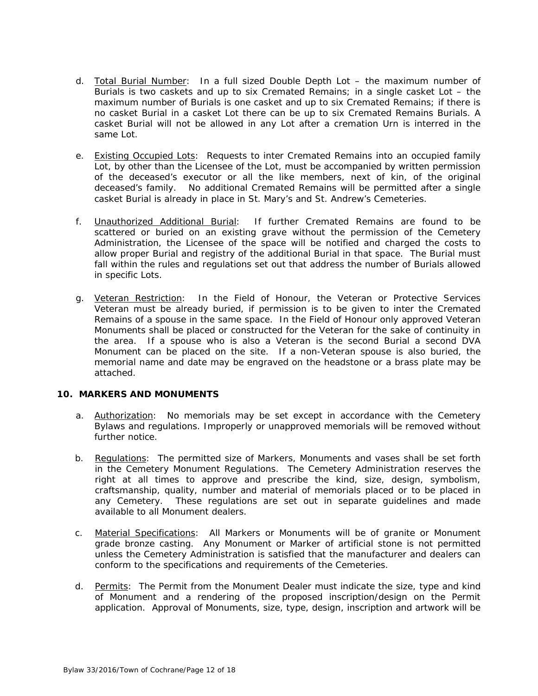- d. Total Burial Number: In a full sized Double Depth Lot the maximum number of Burials is two caskets and up to six Cremated Remains; in a single casket Lot – the maximum number of Burials is one casket and up to six Cremated Remains; if there is no casket Burial in a casket Lot there can be up to six Cremated Remains Burials. A casket Burial will not be allowed in any Lot after a cremation Urn is interred in the same Lot.
- e. Existing Occupied Lots: Requests to inter Cremated Remains into an occupied family Lot, by other than the Licensee of the Lot, must be accompanied by written permission of the deceased's executor or all the like members, next of kin, of the original deceased's family. No additional Cremated Remains will be permitted after a single casket Burial is already in place in St. Mary's and St. Andrew's Cemeteries.
- f. Unauthorized Additional Burial: If further Cremated Remains are found to be scattered or buried on an existing grave without the permission of the Cemetery Administration, the Licensee of the space will be notified and charged the costs to allow proper Burial and registry of the additional Burial in that space. The Burial must fall within the rules and regulations set out that address the number of Burials allowed in specific Lots.
- g. Veteran Restriction: In the Field of Honour, the Veteran or Protective Services Veteran must be already buried, if permission is to be given to inter the Cremated Remains of a spouse in the same space. In the Field of Honour only approved Veteran Monuments shall be placed or constructed for the Veteran for the sake of continuity in the area. If a spouse who is also a Veteran is the second Burial a second DVA Monument can be placed on the site. If a non-Veteran spouse is also buried, the memorial name and date may be engraved on the headstone or a brass plate may be attached.

## **10. MARKERS AND MONUMENTS**

- a. Authorization: No memorials may be set except in accordance with the Cemetery Bylaws and regulations. Improperly or unapproved memorials will be removed without further notice.
- b. Regulations: The permitted size of Markers, Monuments and vases shall be set forth in the Cemetery Monument Regulations. The Cemetery Administration reserves the right at all times to approve and prescribe the kind, size, design, symbolism, craftsmanship, quality, number and material of memorials placed or to be placed in any Cemetery. These regulations are set out in separate guidelines and made available to all Monument dealers.
- c. Material Specifications: All Markers or Monuments will be of granite or Monument grade bronze casting. Any Monument or Marker of artificial stone is not permitted unless the Cemetery Administration is satisfied that the manufacturer and dealers can conform to the specifications and requirements of the Cemeteries.
- d. Permits: The Permit from the Monument Dealer must indicate the size, type and kind of Monument and a rendering of the proposed inscription/design on the Permit application. Approval of Monuments, size, type, design, inscription and artwork will be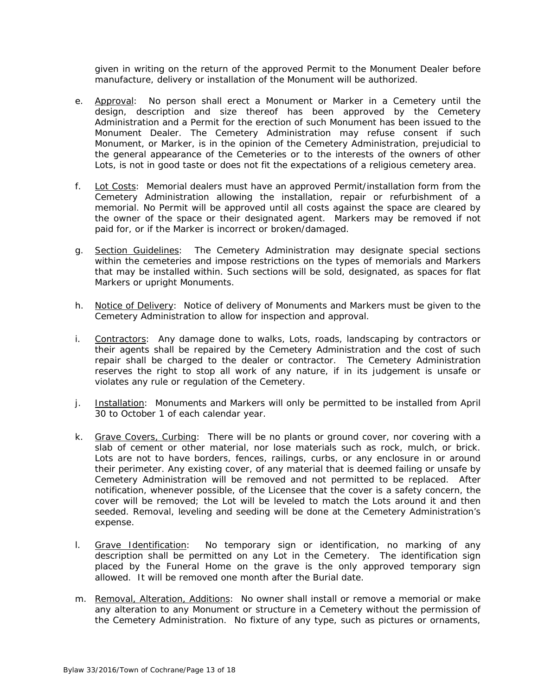given in writing on the return of the approved Permit to the Monument Dealer before manufacture, delivery or installation of the Monument will be authorized.

- e. Approval: No person shall erect a Monument or Marker in a Cemetery until the design, description and size thereof has been approved by the Cemetery Administration and a Permit for the erection of such Monument has been issued to the Monument Dealer. The Cemetery Administration may refuse consent if such Monument, or Marker, is in the opinion of the Cemetery Administration, prejudicial to the general appearance of the Cemeteries or to the interests of the owners of other Lots, is not in good taste or does not fit the expectations of a religious cemetery area.
- f. Lot Costs: Memorial dealers must have an approved Permit/installation form from the Cemetery Administration allowing the installation, repair or refurbishment of a memorial. No Permit will be approved until all costs against the space are cleared by the owner of the space or their designated agent. Markers may be removed if not paid for, or if the Marker is incorrect or broken/damaged.
- g. Section Guidelines: The Cemetery Administration may designate special sections within the cemeteries and impose restrictions on the types of memorials and Markers that may be installed within. Such sections will be sold, designated, as spaces for flat Markers or upright Monuments.
- h. Notice of Delivery: Notice of delivery of Monuments and Markers must be given to the Cemetery Administration to allow for inspection and approval.
- i. Contractors: Any damage done to walks, Lots, roads, landscaping by contractors or their agents shall be repaired by the Cemetery Administration and the cost of such repair shall be charged to the dealer or contractor. The Cemetery Administration reserves the right to stop all work of any nature, if in its judgement is unsafe or violates any rule or regulation of the Cemetery.
- j. Installation: Monuments and Markers will only be permitted to be installed from April 30 to October 1 of each calendar year.
- k. Grave Covers, Curbing: There will be no plants or ground cover, nor covering with a slab of cement or other material, nor lose materials such as rock, mulch, or brick. Lots are not to have borders, fences, railings, curbs, or any enclosure in or around their perimeter. Any existing cover, of any material that is deemed failing or unsafe by Cemetery Administration will be removed and not permitted to be replaced. After notification, whenever possible, of the Licensee that the cover is a safety concern, the cover will be removed; the Lot will be leveled to match the Lots around it and then seeded. Removal, leveling and seeding will be done at the Cemetery Administration's expense.
- I. Grave Identification: No temporary sign or identification, no marking of any description shall be permitted on any Lot in the Cemetery. The identification sign placed by the Funeral Home on the grave is the only approved temporary sign allowed. It will be removed one month after the Burial date.
- m. Removal, Alteration, Additions: No owner shall install or remove a memorial or make any alteration to any Monument or structure in a Cemetery without the permission of the Cemetery Administration. No fixture of any type, such as pictures or ornaments,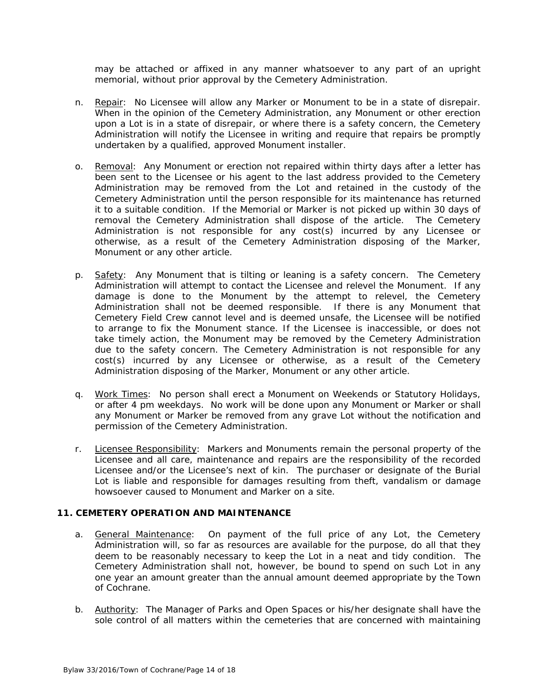may be attached or affixed in any manner whatsoever to any part of an upright memorial, without prior approval by the Cemetery Administration.

- n. Repair: No Licensee will allow any Marker or Monument to be in a state of disrepair. When in the opinion of the Cemetery Administration, any Monument or other erection upon a Lot is in a state of disrepair, or where there is a safety concern, the Cemetery Administration will notify the Licensee in writing and require that repairs be promptly undertaken by a qualified, approved Monument installer.
- o. Removal: Any Monument or erection not repaired within thirty days after a letter has been sent to the Licensee or his agent to the last address provided to the Cemetery Administration may be removed from the Lot and retained in the custody of the Cemetery Administration until the person responsible for its maintenance has returned it to a suitable condition. If the Memorial or Marker is not picked up within 30 days of removal the Cemetery Administration shall dispose of the article. The Cemetery Administration is not responsible for any cost(s) incurred by any Licensee or otherwise, as a result of the Cemetery Administration disposing of the Marker, Monument or any other article.
- p. Safety: Any Monument that is tilting or leaning is a safety concern. The Cemetery Administration will attempt to contact the Licensee and relevel the Monument. If any damage is done to the Monument by the attempt to relevel, the Cemetery Administration shall not be deemed responsible. If there is any Monument that Cemetery Field Crew cannot level and is deemed unsafe, the Licensee will be notified to arrange to fix the Monument stance. If the Licensee is inaccessible, or does not take timely action, the Monument may be removed by the Cemetery Administration due to the safety concern. The Cemetery Administration is not responsible for any cost(s) incurred by any Licensee or otherwise, as a result of the Cemetery Administration disposing of the Marker, Monument or any other article.
- q. Work Times: No person shall erect a Monument on Weekends or Statutory Holidays, or after 4 pm weekdays. No work will be done upon any Monument or Marker or shall any Monument or Marker be removed from any grave Lot without the notification and permission of the Cemetery Administration.
- r. Licensee Responsibility: Markers and Monuments remain the personal property of the Licensee and all care, maintenance and repairs are the responsibility of the recorded Licensee and/or the Licensee's next of kin. The purchaser or designate of the Burial Lot is liable and responsible for damages resulting from theft, vandalism or damage howsoever caused to Monument and Marker on a site.

## **11. CEMETERY OPERATION AND MAINTENANCE**

- a. **General Maintenance:** On payment of the full price of any Lot, the Cemetery Administration will, so far as resources are available for the purpose, do all that they deem to be reasonably necessary to keep the Lot in a neat and tidy condition. The Cemetery Administration shall not, however, be bound to spend on such Lot in any one year an amount greater than the annual amount deemed appropriate by the Town of Cochrane.
- b. Authority: The Manager of Parks and Open Spaces or his/her designate shall have the sole control of all matters within the cemeteries that are concerned with maintaining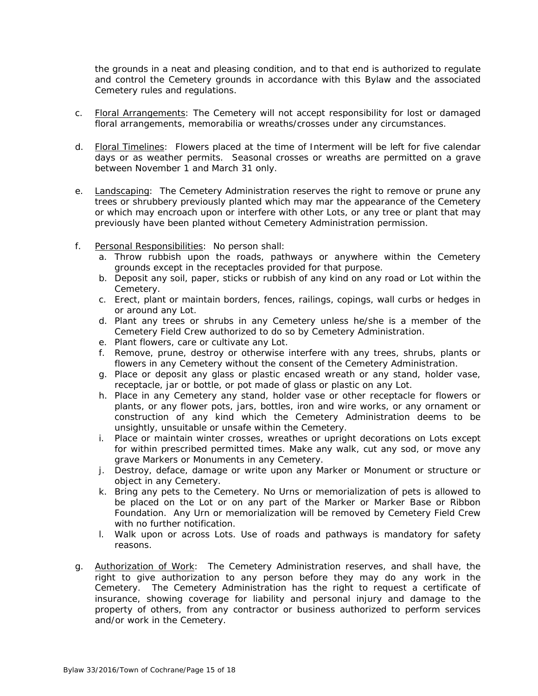the grounds in a neat and pleasing condition, and to that end is authorized to regulate and control the Cemetery grounds in accordance with this Bylaw and the associated Cemetery rules and regulations.

- c. Floral Arrangements: The Cemetery will not accept responsibility for lost or damaged floral arrangements, memorabilia or wreaths/crosses under any circumstances.
- d. Floral Timelines: Flowers placed at the time of Interment will be left for five calendar days or as weather permits. Seasonal crosses or wreaths are permitted on a grave between November 1 and March 31 only.
- e. Landscaping: The Cemetery Administration reserves the right to remove or prune any trees or shrubbery previously planted which may mar the appearance of the Cemetery or which may encroach upon or interfere with other Lots, or any tree or plant that may previously have been planted without Cemetery Administration permission.
- f. Personal Responsibilities: No person shall:
	- a. Throw rubbish upon the roads, pathways or anywhere within the Cemetery grounds except in the receptacles provided for that purpose.
	- b. Deposit any soil, paper, sticks or rubbish of any kind on any road or Lot within the Cemetery.
	- c. Erect, plant or maintain borders, fences, railings, copings, wall curbs or hedges in or around any Lot.
	- d. Plant any trees or shrubs in any Cemetery unless he/she is a member of the Cemetery Field Crew authorized to do so by Cemetery Administration.
	- e. Plant flowers, care or cultivate any Lot.
	- f. Remove, prune, destroy or otherwise interfere with any trees, shrubs, plants or flowers in any Cemetery without the consent of the Cemetery Administration.
	- g. Place or deposit any glass or plastic encased wreath or any stand, holder vase, receptacle, jar or bottle, or pot made of glass or plastic on any Lot.
	- h. Place in any Cemetery any stand, holder vase or other receptacle for flowers or plants, or any flower pots, jars, bottles, iron and wire works, or any ornament or construction of any kind which the Cemetery Administration deems to be unsightly, unsuitable or unsafe within the Cemetery.
	- i. Place or maintain winter crosses, wreathes or upright decorations on Lots except for within prescribed permitted times. Make any walk, cut any sod, or move any grave Markers or Monuments in any Cemetery.
	- j. Destroy, deface, damage or write upon any Marker or Monument or structure or object in any Cemetery.
	- k. Bring any pets to the Cemetery. No Urns or memorialization of pets is allowed to be placed on the Lot or on any part of the Marker or Marker Base or Ribbon Foundation. Any Urn or memorialization will be removed by Cemetery Field Crew with no further notification.
	- l. Walk upon or across Lots. Use of roads and pathways is mandatory for safety reasons.
- g. Authorization of Work: The Cemetery Administration reserves, and shall have, the right to give authorization to any person before they may do any work in the Cemetery. The Cemetery Administration has the right to request a certificate of insurance, showing coverage for liability and personal injury and damage to the property of others, from any contractor or business authorized to perform services and/or work in the Cemetery.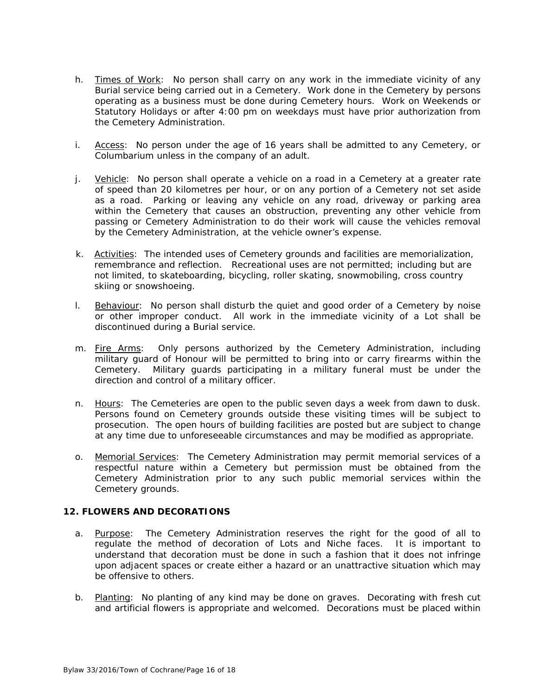- h. Times of Work: No person shall carry on any work in the immediate vicinity of any Burial service being carried out in a Cemetery. Work done in the Cemetery by persons operating as a business must be done during Cemetery hours. Work on Weekends or Statutory Holidays or after 4:00 pm on weekdays must have prior authorization from the Cemetery Administration.
- i. Access: No person under the age of 16 years shall be admitted to any Cemetery, or Columbarium unless in the company of an adult.
- j. Vehicle: No person shall operate a vehicle on a road in a Cemetery at a greater rate of speed than 20 kilometres per hour, or on any portion of a Cemetery not set aside as a road. Parking or leaving any vehicle on any road, driveway or parking area within the Cemetery that causes an obstruction, preventing any other vehicle from passing or Cemetery Administration to do their work will cause the vehicles removal by the Cemetery Administration, at the vehicle owner's expense.
- k. Activities: The intended uses of Cemetery grounds and facilities are memorialization, remembrance and reflection. Recreational uses are not permitted; including but are not limited, to skateboarding, bicycling, roller skating, snowmobiling, cross country skiing or snowshoeing.
- l. Behaviour: No person shall disturb the quiet and good order of a Cemetery by noise or other improper conduct. All work in the immediate vicinity of a Lot shall be discontinued during a Burial service.
- m. Fire Arms: Only persons authorized by the Cemetery Administration, including military guard of Honour will be permitted to bring into or carry firearms within the Cemetery. Military guards participating in a military funeral must be under the direction and control of a military officer.
- n. Hours: The Cemeteries are open to the public seven days a week from dawn to dusk. Persons found on Cemetery grounds outside these visiting times will be subject to prosecution. The open hours of building facilities are posted but are subject to change at any time due to unforeseeable circumstances and may be modified as appropriate.
- o. Memorial Services: The Cemetery Administration may permit memorial services of a respectful nature within a Cemetery but permission must be obtained from the Cemetery Administration prior to any such public memorial services within the Cemetery grounds.

## **12. FLOWERS AND DECORATIONS**

- a. Purpose: The Cemetery Administration reserves the right for the good of all to regulate the method of decoration of Lots and Niche faces. It is important to understand that decoration must be done in such a fashion that it does not infringe upon adjacent spaces or create either a hazard or an unattractive situation which may be offensive to others.
- b. Planting: No planting of any kind may be done on graves. Decorating with fresh cut and artificial flowers is appropriate and welcomed. Decorations must be placed within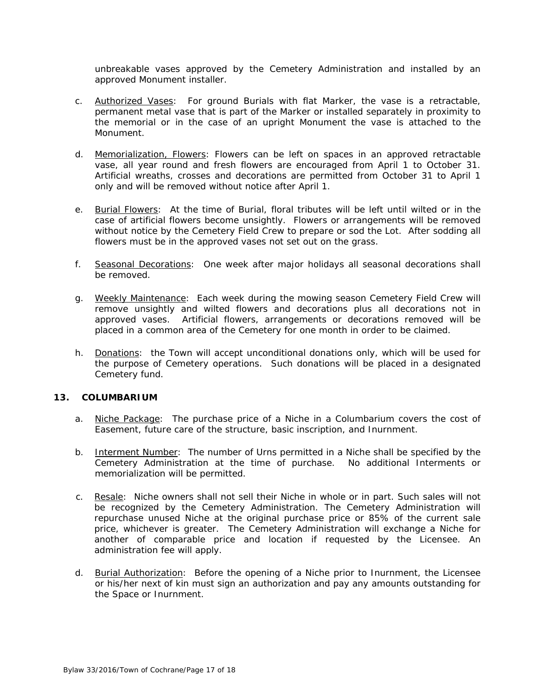unbreakable vases approved by the Cemetery Administration and installed by an approved Monument installer.

- c. **Authorized Vases:** For ground Burials with flat Marker, the vase is a retractable, permanent metal vase that is part of the Marker or installed separately in proximity to the memorial or in the case of an upright Monument the vase is attached to the Monument.
- d. Memorialization, Flowers: Flowers can be left on spaces in an approved retractable vase, all year round and fresh flowers are encouraged from April 1 to October 31. Artificial wreaths, crosses and decorations are permitted from October 31 to April 1 only and will be removed without notice after April 1.
- e. Burial Flowers: At the time of Burial, floral tributes will be left until wilted or in the case of artificial flowers become unsightly. Flowers or arrangements will be removed without notice by the Cemetery Field Crew to prepare or sod the Lot. After sodding all flowers must be in the approved vases not set out on the grass.
- f. Seasonal Decorations: One week after major holidays all seasonal decorations shall be removed.
- g. Weekly Maintenance: Each week during the mowing season Cemetery Field Crew will remove unsightly and wilted flowers and decorations plus all decorations not in approved vases. Artificial flowers, arrangements or decorations removed will be placed in a common area of the Cemetery for one month in order to be claimed.
- h. Donations: the Town will accept unconditional donations only, which will be used for the purpose of Cemetery operations. Such donations will be placed in a designated Cemetery fund.

#### **13. COLUMBARIUM**

- a. Niche Package: The purchase price of a Niche in a Columbarium covers the cost of Easement, future care of the structure, basic inscription, and Inurnment.
- b. Interment Number: The number of Urns permitted in a Niche shall be specified by the Cemetery Administration at the time of purchase. No additional Interments or memorialization will be permitted.
- c. Resale: Niche owners shall not sell their Niche in whole or in part. Such sales will not be recognized by the Cemetery Administration. The Cemetery Administration will repurchase unused Niche at the original purchase price or 85% of the current sale price, whichever is greater. The Cemetery Administration will exchange a Niche for another of comparable price and location if requested by the Licensee. An administration fee will apply.
- d. Burial Authorization: Before the opening of a Niche prior to Inurnment, the Licensee or his/her next of kin must sign an authorization and pay any amounts outstanding for the Space or Inurnment.